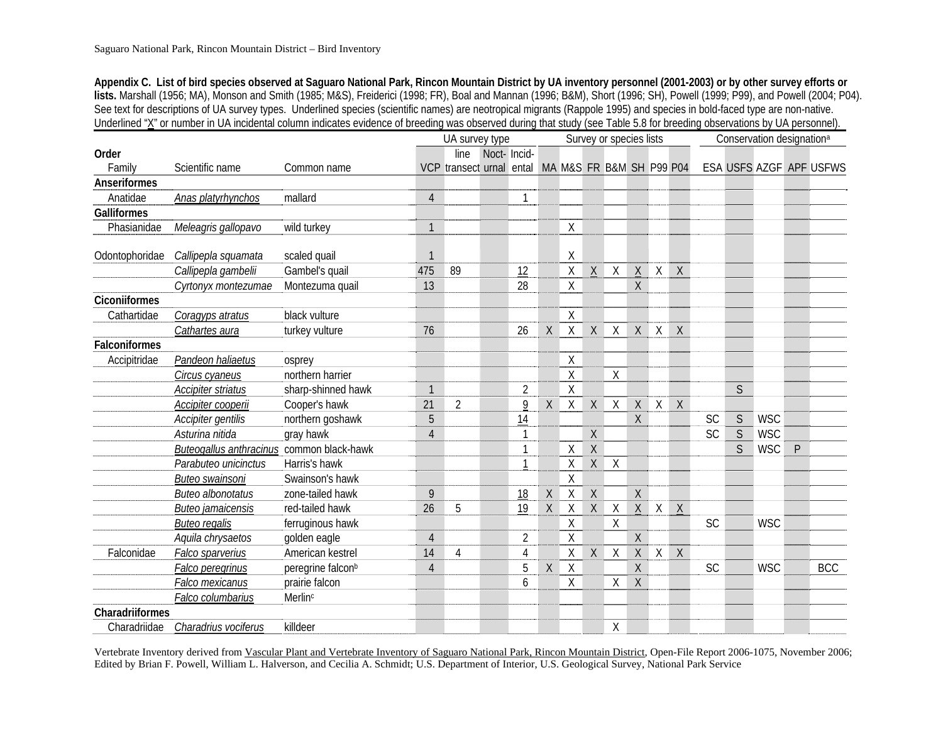**Appendix C. List of bird species observed at Saguaro National Park, Rincon Mountain District by UA inventory personnel (2001-2003) or by other survey efforts or lists.** Marshall (1956; MA), Monson and Smith (1985; M&S), Freiderici (1998; FR), Boal and Mannan (1996; B&M), Short (1996; SH), Powell (1999; P99), and Powell (2004; P04). See text for descriptions of UA survey types. Underlined species (scientific names) are neotropical migrants (Rappole 1995) and species in bold-faced type are non-native. Underlined "X" or number in UA incidental column indicates evidence of breeding was observed during that study (see Table 5.8 for breeding observations by UA personnel).

|                    |                                           |                               |                | UA survey type                                    |             |                |             |                    | Survey or species lists |              |                 |          | Conservation designation <sup>a</sup> |           |              |            |              |                         |
|--------------------|-------------------------------------------|-------------------------------|----------------|---------------------------------------------------|-------------|----------------|-------------|--------------------|-------------------------|--------------|-----------------|----------|---------------------------------------|-----------|--------------|------------|--------------|-------------------------|
| Order              |                                           |                               |                | line                                              | Noct-Incid- |                |             |                    |                         |              |                 |          |                                       |           |              |            |              |                         |
| Family             | Scientific name                           | Common name                   |                | VCP transect urnal ental MA M&S FR B&M SH P99 P04 |             |                |             |                    |                         |              |                 |          |                                       |           |              |            |              | ESA USFS AZGF APF USFWS |
| Anseriformes       |                                           |                               |                |                                                   |             |                |             |                    |                         |              |                 |          |                                       |           |              |            |              |                         |
| Anatidae           | Anas platyrhynchos                        | mallard                       | $\overline{4}$ |                                                   |             | $\mathbf{1}$   |             |                    |                         |              |                 |          |                                       |           |              |            |              |                         |
| <b>Galliformes</b> |                                           |                               |                |                                                   |             |                |             |                    |                         |              |                 |          |                                       |           |              |            |              |                         |
| Phasianidae        | Meleagris gallopavo                       | wild turkey                   | $\mathbf{1}$   |                                                   |             |                |             | Χ                  |                         |              |                 |          |                                       |           |              |            |              |                         |
| Odontophoridae     | Callipepla squamata                       | scaled quail                  | $\mathbf 1$    |                                                   |             |                |             | Χ                  |                         |              |                 |          |                                       |           |              |            |              |                         |
|                    | Callipepla gambelii                       | Gambel's quail                | 475            | 89                                                |             | 12             |             | $\mathsf{X}% _{0}$ | $\sf X$                 | χ            | $\mathsf X$     | $\chi$   | X                                     |           |              |            |              |                         |
|                    | Cyrtonyx montezumae                       | Montezuma quail               | 13             |                                                   |             | 28             |             | Χ                  |                         |              | $\sf X$         |          |                                       |           |              |            |              |                         |
| Ciconiiformes      |                                           |                               |                |                                                   |             |                |             |                    |                         |              |                 |          |                                       |           |              |            |              |                         |
| Cathartidae        | Coragyps atratus                          | black vulture                 |                |                                                   |             |                |             | $\sf X$            |                         |              |                 |          |                                       |           |              |            |              |                         |
|                    | Cathartes aura                            | turkey vulture                | 76             |                                                   |             | 26             | X           | $\mathsf X$        | $\mathsf{X}$            | X            | X               | $\sf X$  | $\mathsf{X}$                          |           |              |            |              |                         |
| Falconiformes      |                                           |                               |                |                                                   |             |                |             |                    |                         |              |                 |          |                                       |           |              |            |              |                         |
| Accipitridae       | Pandeon haliaetus                         | osprey                        |                |                                                   |             |                |             | $\times$           |                         |              |                 |          |                                       |           |              |            |              |                         |
|                    | Circus cyaneus                            | northern harrier              |                |                                                   |             |                |             | $\sf X$            |                         | $\sf X$      |                 |          |                                       |           |              |            |              |                         |
|                    | Accipiter striatus                        | sharp-shinned hawk            | $\mathbf{1}$   |                                                   |             | $\overline{2}$ |             | $\mathsf X$        |                         |              |                 |          |                                       |           | $\mathsf{S}$ |            |              |                         |
|                    | Accipiter cooperii                        | Cooper's hawk                 | 21             | $\overline{2}$                                    |             | 9              | $\sf X$     | $\sf X$            | $\mathsf X$             | $\mathsf{X}$ | $\mathsf X$     | X        | $\mathsf{X}$                          |           |              |            |              |                         |
|                    | Accipiter gentilis                        | northern goshawk              | 5              |                                                   |             | 14             |             |                    |                         |              | $\overline{X}$  |          |                                       | SC        | $\mathsf S$  | <b>WSC</b> |              |                         |
|                    | Asturina nitida                           | gray hawk                     | $\overline{4}$ |                                                   |             |                |             |                    | $\sf X$                 |              |                 |          |                                       | <b>SC</b> | S            | <b>WSC</b> |              |                         |
|                    | Buteogallus anthracinus common black-hawk |                               |                |                                                   |             |                |             | Χ                  | $\overline{X}$          |              |                 |          |                                       |           | $\mathsf{S}$ | <b>WSC</b> | $\mathsf{P}$ |                         |
|                    | Parabuteo unicinctus                      | Harris's hawk                 |                |                                                   |             |                |             | Χ                  | X                       | $\sf X$      |                 |          |                                       |           |              |            |              |                         |
|                    | Buteo swainsoni                           | Swainson's hawk               |                |                                                   |             |                |             | $\mathsf X$        |                         |              |                 |          |                                       |           |              |            |              |                         |
|                    | <b>Buteo albonotatus</b>                  | zone-tailed hawk              | 9              |                                                   |             | 18             | $\sf X$     | $\sf X$            | $\sf X$                 |              | $\sf X$         |          |                                       |           |              |            |              |                         |
|                    | <b>Buteo jamaicensis</b>                  | red-tailed hawk               | 26             | 5                                                 |             | 19             | Χ           | Χ                  | $\chi$                  | Χ            | $\underline{X}$ | X        | $\mathsf{X}$                          |           |              |            |              |                         |
|                    | <b>Buteo regalis</b>                      | ferruginous hawk              |                |                                                   |             |                |             | $\mathsf X$        |                         | Χ            |                 |          |                                       | SC        |              | <b>WSC</b> |              |                         |
|                    | Aquila chrysaetos                         | golden eagle                  | $\overline{4}$ |                                                   |             | $\overline{2}$ |             | Χ                  |                         |              | X               |          |                                       |           |              |            |              |                         |
| Falconidae         | Falco sparverius                          | American kestrel              | 14             | 4                                                 |             | $\overline{4}$ |             | $\mathsf{X}% _{0}$ | $\mathsf X$             | $\mathsf X$  | $\mathsf X$     | $X \mid$ | $\chi$                                |           |              |            |              |                         |
|                    | Falco peregrinus                          | peregrine falcon <sup>b</sup> | $\overline{4}$ |                                                   |             | 5              | $\mathsf X$ | $\sf X$            |                         |              | X               |          |                                       | <b>SC</b> |              | <b>WSC</b> |              | <b>BCC</b>              |
|                    | Falco mexicanus                           | prairie falcon                |                |                                                   |             | 6              |             | Χ                  |                         | X            | $\sf X$         |          |                                       |           |              |            |              |                         |
|                    | Falco columbarius                         | Merlin <sup>c</sup>           |                |                                                   |             |                |             |                    |                         |              |                 |          |                                       |           |              |            |              |                         |
| Charadriiformes    |                                           |                               |                |                                                   |             |                |             |                    |                         |              |                 |          |                                       |           |              |            |              |                         |
| Charadriidae       | Charadrius vociferus                      | killdeer                      |                |                                                   |             |                |             |                    |                         | Χ            |                 |          |                                       |           |              |            |              |                         |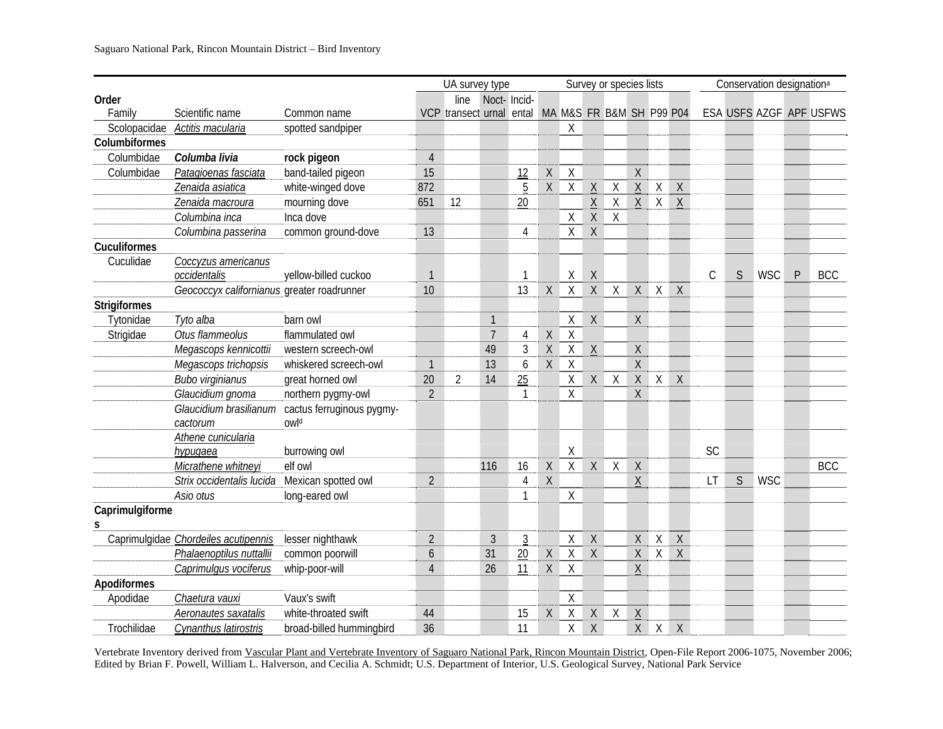|                     |                                            |                                   | UA survey type<br>Noct-Incid- |                                                   |                |                |              |                |                 | Survey or species lists |                 |         |              | Conservation designation <sup>a</sup> |              |            |              |                         |  |
|---------------------|--------------------------------------------|-----------------------------------|-------------------------------|---------------------------------------------------|----------------|----------------|--------------|----------------|-----------------|-------------------------|-----------------|---------|--------------|---------------------------------------|--------------|------------|--------------|-------------------------|--|
| Order               |                                            |                                   |                               | line                                              |                |                |              |                |                 |                         |                 |         |              |                                       |              |            |              |                         |  |
| Family              | Scientific name                            | Common name                       |                               | VCP transect urnal ental MA M&S FR B&M SH P99 P04 |                |                |              |                |                 |                         |                 |         |              |                                       |              |            |              | ESA USFS AZGF APF USFWS |  |
| Scolopacidae        | Actitis macularia                          | spotted sandpiper                 |                               |                                                   |                |                |              | X              |                 |                         |                 |         |              |                                       |              |            |              |                         |  |
| Columbiformes       |                                            |                                   |                               |                                                   |                |                |              |                |                 |                         |                 |         |              |                                       |              |            |              |                         |  |
| Columbidae          | Columba livia                              | rock pigeon                       | $\overline{4}$                |                                                   |                |                |              |                |                 |                         |                 |         |              |                                       |              |            |              |                         |  |
| Columbidae          | Patagioenas fasciata                       | band-tailed pigeon                | 15                            |                                                   |                | 12             | Χ            | $\chi$         |                 |                         | Χ               |         |              |                                       |              |            |              |                         |  |
|                     | Zenaida asiatica                           | white-winged dove                 | 872                           |                                                   |                | 5              | $\mathsf{X}$ | $\sf X$        | $\chi$          | $\sf X$                 | $\mathsf X$     | X       | $\mathsf{X}$ |                                       |              |            |              |                         |  |
|                     | Zenaida macroura                           | mourning dove                     | 651                           | 12                                                |                | 20             |              |                | $\underline{X}$ | $\mathsf{X}$            | $\underline{X}$ |         | $X \times X$ |                                       |              |            |              |                         |  |
|                     | Columbina inca                             | Inca dove                         |                               |                                                   |                |                |              | Χ              | $\mathsf X$     | $\mathsf{X}$            |                 |         |              |                                       |              |            |              |                         |  |
|                     | Columbina passerina                        | common ground-dove                | 13                            |                                                   |                | 4              |              | Χ              | $\mathsf X$     |                         |                 |         |              |                                       |              |            |              |                         |  |
| Cuculiformes        |                                            |                                   |                               |                                                   |                |                |              |                |                 |                         |                 |         |              |                                       |              |            |              |                         |  |
| Cuculidae           | Coccyzus americanus                        |                                   |                               |                                                   |                |                |              |                |                 |                         |                 |         |              |                                       |              |            |              |                         |  |
|                     | occidentalis                               | yellow-billed cuckoo              | $\overline{1}$                |                                                   |                |                |              | $\sf X$        | $\chi$          |                         |                 |         |              | $\mathsf C$                           | S            | <b>WSC</b> | $\mathsf{P}$ | <b>BCC</b>              |  |
|                     | Geococcyx californianus greater roadrunner |                                   | 10                            |                                                   |                | 13             | $\chi$       | $\overline{X}$ | $\sf X$         | $\sf X$                 | $\mathsf{X}$    | $\sf X$ | $\mathsf{X}$ |                                       |              |            |              |                         |  |
| <b>Strigiformes</b> |                                            |                                   |                               |                                                   |                |                |              |                |                 |                         |                 |         |              |                                       |              |            |              |                         |  |
| Tytonidae           | Tyto alba                                  | barn owl                          |                               |                                                   | $\mathbf{1}$   |                |              | Χ              | $\mathsf X$     |                         | $\mathsf{X}$    |         |              |                                       |              |            |              |                         |  |
| Strigidae           | Otus flammeolus                            | flammulated owl                   |                               |                                                   | $\overline{7}$ | $\overline{4}$ | $\mathsf X$  | $\sf X$        |                 |                         |                 |         |              |                                       |              |            |              |                         |  |
|                     | Megascops kennicottii                      | western screech-owl               |                               |                                                   | 49             | $\mathfrak{Z}$ | $\mathsf X$  | $\sf X$        | $\underline{X}$ |                         | $\mathsf{X}$    |         |              |                                       |              |            |              |                         |  |
|                     | Megascops trichopsis                       | whiskered screech-owl             | $\overline{1}$                |                                                   | 13             | 6              | $\mathsf X$  | $\sf X$        |                 |                         | $\mathsf{X}$    |         |              |                                       |              |            |              |                         |  |
|                     | <b>Bubo virginianus</b>                    | great horned owl                  | 20                            | $\overline{2}$                                    | 14             | 25             |              | $\mathsf X$    | X               | $\sf X$                 | $\mathsf{X}$    | X       | $\sf X$      |                                       |              |            |              |                         |  |
|                     | Glaucidium gnoma                           | northern pygmy-owl                | $\overline{2}$                |                                                   |                | 1              |              | Χ              |                 |                         | X               |         |              |                                       |              |            |              |                         |  |
|                     | Glaucidium brasilianum<br>cactorum         | cactus ferruginous pygmy-<br>owld |                               |                                                   |                |                |              |                |                 |                         |                 |         |              |                                       |              |            |              |                         |  |
|                     | Athene cunicularia                         |                                   |                               |                                                   |                |                |              |                |                 |                         |                 |         |              |                                       |              |            |              |                         |  |
|                     | hypugaea                                   | burrowing owl                     |                               |                                                   |                |                |              | Χ              |                 |                         |                 |         |              | <b>SC</b>                             |              |            |              |                         |  |
|                     | Micrathene whitneyi                        | elf owl                           |                               |                                                   | 116            | 16             | $\mathsf X$  | $\sf X$        | $\mathsf{X}$    | $\chi$                  | $\sf X$         |         |              |                                       |              |            |              | <b>BCC</b>              |  |
|                     | Strix occidentalis lucida                  | Mexican spotted owl               | $\overline{2}$                |                                                   |                | 4              | Χ            |                |                 |                         | $\underline{X}$ |         |              | LT                                    | <sub>S</sub> | <b>WSC</b> |              |                         |  |
|                     | Asio otus                                  | long-eared owl                    |                               |                                                   |                |                |              | $\times$       |                 |                         |                 |         |              |                                       |              |            |              |                         |  |
| Caprimulgiforme     |                                            |                                   |                               |                                                   |                |                |              |                |                 |                         |                 |         |              |                                       |              |            |              |                         |  |
| S                   |                                            |                                   |                               |                                                   |                |                |              |                |                 |                         |                 |         |              |                                       |              |            |              |                         |  |
|                     | Caprimulgidae Chordeiles acutipennis       | lesser nighthawk                  | $\overline{2}$                |                                                   | 3              | $\mathfrak{Z}$ |              | $\mathsf{X}$   | $\mathsf X$     |                         | X               | X       | $\mathsf{X}$ |                                       |              |            |              |                         |  |
|                     | Phalaenoptilus nuttallii                   | common poorwill                   | 6                             |                                                   | 31             | 20             | Χ            | $\sf X$        | $\mathsf{X}$    |                         | X               | X       | $\mathsf{X}$ |                                       |              |            |              |                         |  |
|                     | Caprimulgus vociferus                      | whip-poor-will                    | $\overline{4}$                |                                                   | 26             | 11             | Χ            | $\sf X$        |                 |                         | $\underline{X}$ |         |              |                                       |              |            |              |                         |  |
| Apodiformes         |                                            |                                   |                               |                                                   |                |                |              |                |                 |                         |                 |         |              |                                       |              |            |              |                         |  |
| Apodidae            | Chaetura vauxi                             | Vaux's swift                      |                               |                                                   |                |                |              | Χ              |                 |                         |                 |         |              |                                       |              |            |              |                         |  |
|                     | Aeronautes saxatalis                       | white-throated swift              | 44                            |                                                   |                | 15             | Χ            | $\sf X$        | $\mathsf X$     | Χ                       | $\mathsf X$     |         |              |                                       |              |            |              |                         |  |
| Trochilidae         | Cynanthus latirostris                      | broad-billed hummingbird          | 36                            |                                                   |                | 11             |              | Χ              | $\chi$          |                         | X               | $\sf X$ | $\mathsf{X}$ |                                       |              |            |              |                         |  |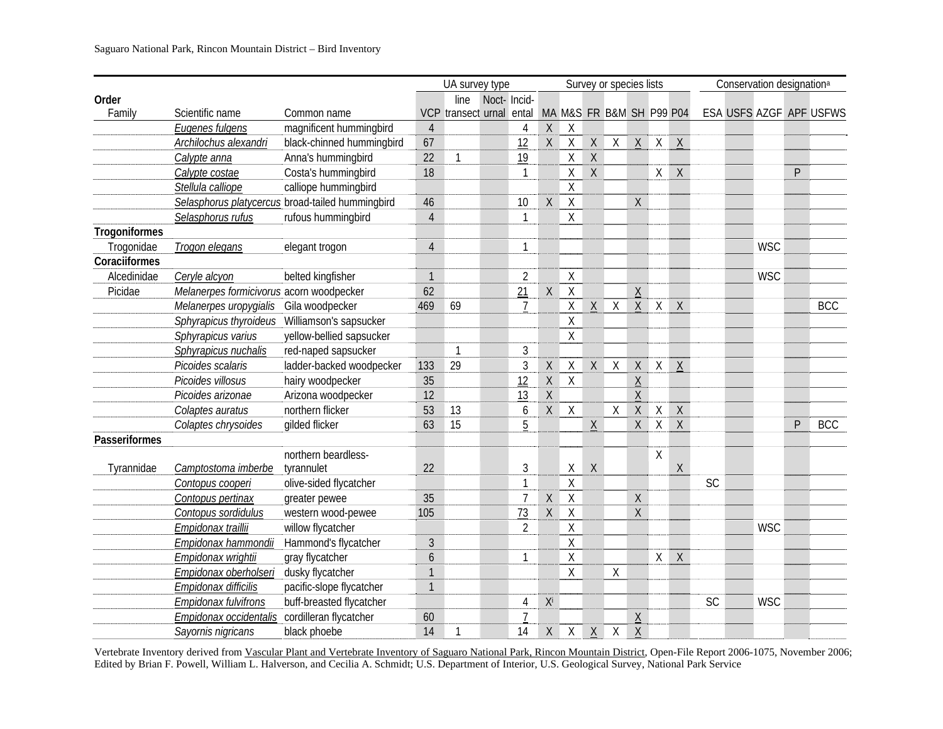|               |                                          |                                                  | UA survey type |                |             |                |              |                    |                 | Survey or species lists  |                 |              | Conservation designation <sup>a</sup> |    |  |            |              |                         |
|---------------|------------------------------------------|--------------------------------------------------|----------------|----------------|-------------|----------------|--------------|--------------------|-----------------|--------------------------|-----------------|--------------|---------------------------------------|----|--|------------|--------------|-------------------------|
| Order         |                                          |                                                  |                | line           | Noct-Incid- |                |              |                    |                 |                          |                 |              |                                       |    |  |            |              |                         |
| Family        | Scientific name                          | Common name                                      | <b>VCP</b>     | transect urnal |             | ental          |              |                    |                 | MA M&S FR B&M SH P99 P04 |                 |              |                                       |    |  |            |              | ESA USFS AZGF APF USFWS |
|               | Eugenes fulgens                          | magnificent hummingbird                          | $\overline{4}$ |                |             | 4              | X            | $\chi$             |                 |                          |                 |              |                                       |    |  |            |              |                         |
|               | Archilochus alexandri                    | black-chinned hummingbird                        | 67             |                |             | 12             | $\sf X$      | $\sf X$            | $\mathsf X$     | X                        | $\underline{X}$ | X            | $\mathsf{X}$                          |    |  |            |              |                         |
|               | Calypte anna                             | Anna's hummingbird                               | 22             | $\mathbf{1}$   |             | 19             |              | Χ                  | $\sf X$         |                          |                 |              |                                       |    |  |            |              |                         |
|               | Calypte costae                           | Costa's hummingbird                              | 18             |                |             |                |              | Χ                  | $\sf X$         |                          |                 | X            | $\mathsf{X}$                          |    |  |            | $\mathsf{P}$ |                         |
|               | Stellula calliope                        | calliope hummingbird                             |                |                |             |                |              | $\sf X$            |                 |                          |                 |              |                                       |    |  |            |              |                         |
|               |                                          | Selasphorus platycercus broad-tailed hummingbird | 46             |                |             | 10             | Χ            | $\sf X$            |                 |                          | X               |              |                                       |    |  |            |              |                         |
|               | Selasphorus rufus                        | rufous hummingbird                               | $\overline{4}$ |                |             | $\mathbf{1}$   |              | Χ                  |                 |                          |                 |              |                                       |    |  |            |              |                         |
| Trogoniformes |                                          |                                                  |                |                |             |                |              |                    |                 |                          |                 |              |                                       |    |  |            |              |                         |
| Trogonidae    | Trogon elegans                           | elegant trogon                                   | $\overline{4}$ |                |             |                |              |                    |                 |                          |                 |              |                                       |    |  | <b>WSC</b> |              |                         |
| Coraciiformes |                                          |                                                  |                |                |             |                |              |                    |                 |                          |                 |              |                                       |    |  |            |              |                         |
| Alcedinidae   | Ceryle alcyon                            | belted kingfisher                                | $\mathbf{1}$   |                |             | $\overline{2}$ |              | $\mathsf X$        |                 |                          |                 |              |                                       |    |  | <b>WSC</b> |              |                         |
| Picidae       | Melanerpes formicivorus acorn woodpecker |                                                  | 62             |                |             | 21             | $\mathsf X$  | $\sf X$            |                 |                          | $\mathsf X$     |              |                                       |    |  |            |              |                         |
|               | Melanerpes uropygialis                   | Gila woodpecker                                  | 469            | 69             |             | $\overline{7}$ |              | $\mathsf X$        | $\sf X$         | X                        | X               | $\mathsf{X}$ | $\mathsf{X}$                          |    |  |            |              | <b>BCC</b>              |
|               | Sphyrapicus thyroideus                   | Williamson's sapsucker                           |                |                |             |                |              | $\mathsf X$        |                 |                          |                 |              |                                       |    |  |            |              |                         |
|               | Sphyrapicus varius                       | yellow-bellied sapsucker                         |                |                |             |                |              | $\sf X$            |                 |                          |                 |              |                                       |    |  |            |              |                         |
|               | Sphyrapicus nuchalis                     | red-naped sapsucker                              |                | $\mathbf{1}$   |             | $\mathfrak{Z}$ |              |                    |                 |                          |                 |              |                                       |    |  |            |              |                         |
|               | Picoides scalaris                        | ladder-backed woodpecker                         | 133            | 29             |             | 3              | $\mathsf X$  | $\sf X$            | $\mathsf X$     | Χ                        | $\mathsf X$     | $\mathsf{X}$ | $\mathsf X$                           |    |  |            |              |                         |
|               | Picoides villosus                        | hairy woodpecker                                 | 35             |                |             | 12             | $\sf X$      | $\mathsf X$        |                 |                          | $\sf X$         |              |                                       |    |  |            |              |                         |
|               | Picoides arizonae                        | Arizona woodpecker                               | 12             |                |             | 13             | $\mathsf X$  |                    |                 |                          | $\mathsf X$     |              |                                       |    |  |            |              |                         |
|               | Colaptes auratus                         | northern flicker                                 | 53             | 13             |             | 6              | $\mathsf{X}$ | $\sf X$            |                 | X                        | $\mathsf{X}$    | $\mathsf{X}$ | $\mathsf{X}$                          |    |  |            |              |                         |
|               | Colaptes chrysoides                      | gilded flicker                                   | 63             | 15             |             | 5              |              |                    | $\mathsf X$     |                          | X               | X            | $\sf X$                               |    |  |            | $\mathsf{P}$ | <b>BCC</b>              |
| Passeriformes |                                          |                                                  |                |                |             |                |              |                    |                 |                          |                 |              |                                       |    |  |            |              |                         |
|               |                                          | northern beardless-                              |                |                |             |                |              |                    |                 |                          |                 | X            |                                       |    |  |            |              |                         |
| Tyrannidae    | Camptostoma imberbe                      | tyrannulet                                       | 22             |                |             | 3              |              | Χ                  | $\sf X$         |                          |                 |              | $\mathsf X$                           |    |  |            |              |                         |
|               | Contopus cooperi                         | olive-sided flycatcher                           |                |                |             |                |              | $\sf X$            |                 |                          |                 |              |                                       | SC |  |            |              |                         |
|               | Contopus pertinax                        | greater pewee                                    | 35             |                |             | $\overline{7}$ | Χ            | $\mathsf{X}$       |                 |                          | Χ               |              |                                       |    |  |            |              |                         |
|               | Contopus sordidulus                      | western wood-pewee                               | 105            |                |             | 73             | $\sf X$      | $\sf X$            |                 |                          | X               |              |                                       |    |  |            |              |                         |
|               | Empidonax traillii                       | willow flycatcher                                |                |                |             | $\overline{2}$ |              | X                  |                 |                          |                 |              |                                       |    |  | <b>WSC</b> |              |                         |
|               | Empidonax hammondii                      | Hammond's flycatcher                             | 3              |                |             |                |              | $\mathsf{X}% _{0}$ |                 |                          |                 |              |                                       |    |  |            |              |                         |
|               | Empidonax wrightii                       | gray flycatcher                                  | $\overline{6}$ |                |             | $\overline{1}$ |              | $\mathsf{X}% _{0}$ |                 |                          |                 | X            | $\sf X$                               |    |  |            |              |                         |
|               | Empidonax oberholseri                    | dusky flycatcher                                 | $\mathbf{1}$   |                |             |                |              | Χ                  |                 | Χ                        |                 |              |                                       |    |  |            |              |                         |
|               | Empidonax difficilis                     | pacific-slope flycatcher                         | $\mathbf{1}$   |                |             |                |              |                    |                 |                          |                 |              |                                       |    |  |            |              |                         |
|               | Empidonax fulvifrons                     | buff-breasted flycatcher                         |                |                |             | 4              | Xi           |                    |                 |                          |                 |              |                                       | SC |  | <b>WSC</b> |              |                         |
|               | Empidonax occidentalis                   | cordilleran flycatcher                           | 60             |                |             |                |              |                    |                 |                          | $\underline{X}$ |              |                                       |    |  |            |              |                         |
|               | Sayornis nigricans                       | black phoebe                                     | 14             | $\mathbf{1}$   |             | 14             | Χ            | $\times$           | $\underline{X}$ | X                        | $\underline{X}$ |              |                                       |    |  |            |              |                         |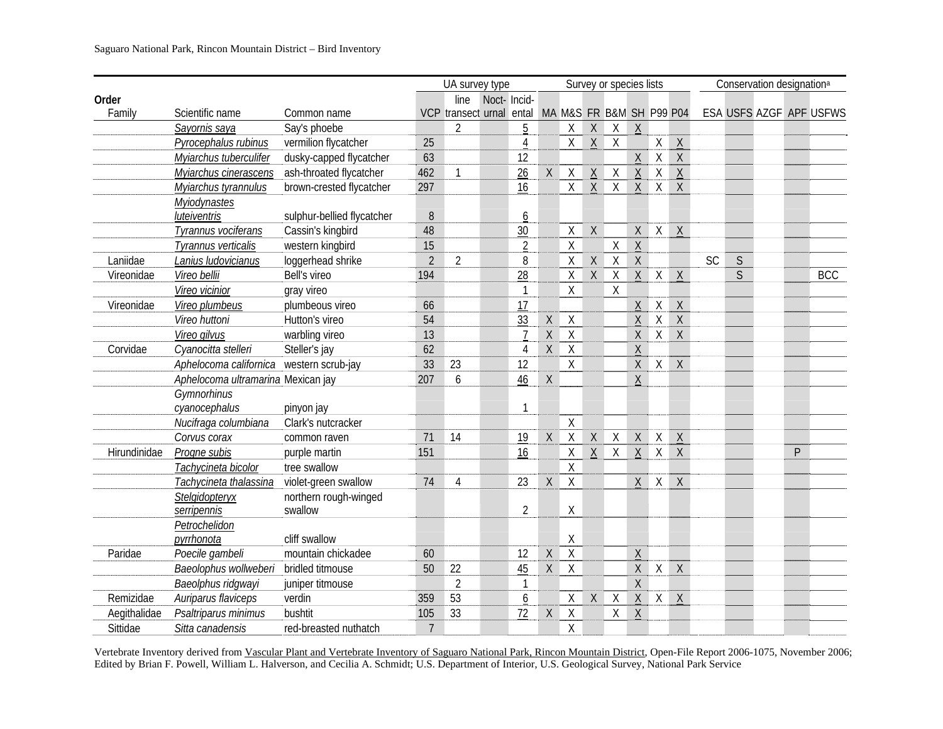|              |                                          |                            | UA survey type |                                                   |             |                | Survey or species lists |                    |                 |                                                     | Conservation designation <sup>a</sup> |                |                 |    |              |  |   |                         |
|--------------|------------------------------------------|----------------------------|----------------|---------------------------------------------------|-------------|----------------|-------------------------|--------------------|-----------------|-----------------------------------------------------|---------------------------------------|----------------|-----------------|----|--------------|--|---|-------------------------|
| Order        |                                          |                            |                | line                                              | Noct-Incid- |                |                         |                    |                 |                                                     |                                       |                |                 |    |              |  |   |                         |
| Family       | Scientific name                          | Common name                |                | VCP transect urnal ental MA M&S FR B&M SH P99 P04 |             |                |                         |                    |                 |                                                     |                                       |                |                 |    |              |  |   | ESA USFS AZGF APF USFWS |
|              | Sayornis saya                            | Say's phoebe               |                | $\overline{2}$                                    |             | $\overline{5}$ |                         | $\chi$             | $\sf X$         | $\mathsf{X}$                                        | $\chi$                                |                |                 |    |              |  |   |                         |
|              | Pyrocephalus rubinus                     | vermilion flycatcher       | 25             |                                                   |             | 4              |                         | χ                  | $\underline{X}$ | $\overline{X}$                                      |                                       | X              | $\underline{X}$ |    |              |  |   |                         |
|              | Myiarchus tuberculifer                   | dusky-capped flycatcher    | 63             |                                                   |             | 12             |                         |                    |                 |                                                     | $\mathsf X$                           | $\mathsf{X}$   | $\mathsf X$     |    |              |  |   |                         |
|              | Myjarchus cinerascens                    | ash-throated flycatcher    | 462            | $\mathbf{1}$                                      |             | 26             | $\mathsf X$             | $\mathsf X$        | $\sf X$         | $\sf X$                                             | $\mathsf X$                           | $\mathsf{X}$   | $\mathsf X$     |    |              |  |   |                         |
|              | Myiarchus tyrannulus                     | brown-crested flycatcher   | 297            |                                                   |             | 16             |                         | $\mathsf{X}$       | $\overline{X}$  | $\overline{X}$                                      | $\overline{X}$                        | $\overline{X}$ | $\overline{X}$  |    |              |  |   |                         |
|              | <b>Myjodynastes</b>                      |                            |                |                                                   |             |                |                         |                    |                 |                                                     |                                       |                |                 |    |              |  |   |                         |
|              | luteiventris                             | sulphur-bellied flycatcher | 8              |                                                   |             | 6              |                         |                    |                 |                                                     |                                       |                |                 |    |              |  |   |                         |
|              | Tyrannus vociferans                      | Cassin's kingbird          | 48             |                                                   |             | 30             |                         | $\mathsf X$        | $\mathsf X$     |                                                     | Χ                                     | $\sf X$        | $\underline{X}$ |    |              |  |   |                         |
|              | Tyrannus verticalis                      | western kingbird           | 15             |                                                   |             | $\overline{2}$ |                         | $\sf X$            |                 | $\mathsf X$                                         | $\mathsf X$                           |                |                 |    |              |  |   |                         |
| Laniidae     | Lanius ludovicianus                      | loggerhead shrike          | $\overline{2}$ | $\overline{2}$                                    |             | 8              |                         | $\mathsf{X}% _{0}$ | $\sf X$         | $\overline{X}$                                      | $\chi$                                |                |                 | SC | $\mathsf{S}$ |  |   |                         |
| Vireonidae   | Vireo bellii                             | Bell's vireo               | 194            |                                                   |             | 28             |                         | $\chi$             | $\mathsf{X}$    | $\mathsf X$                                         | $\sf X$                               | X              | $\overline{X}$  |    | $\mathsf{S}$ |  |   | <b>BCC</b>              |
|              | Vireo vicinior                           | gray vireo                 |                |                                                   |             | $\mathbf{1}$   |                         | χ                  |                 | $\mathsf{X}% _{0}^{\prime}=\mathsf{X}_{0}^{\prime}$ |                                       |                |                 |    |              |  |   |                         |
| Vireonidae   | Vireo plumbeus                           | plumbeous vireo            | 66             |                                                   |             | 17             |                         |                    |                 |                                                     | $\underline{X}$                       | $\mathsf X$    | $\sf X$         |    |              |  |   |                         |
|              | Vireo huttoni                            | Hutton's vireo             | 54             |                                                   |             | 33             | $\mathsf X$             | $\mathsf X$        |                 |                                                     | $\mathsf X$                           | $\mathsf{X}$   | $\mathsf{X}$    |    |              |  |   |                         |
|              | Vireo gilvus                             | warbling vireo             | 13             |                                                   |             | $\overline{7}$ | $\mathsf{X}$            | $\overline{X}$     |                 |                                                     | $\mathsf X$                           |                | $X$ $X$         |    |              |  |   |                         |
| Corvidae     | Cyanocitta stelleri                      | Steller's jay              | 62             |                                                   |             | 4              | $\mathsf X$             | $\overline{X}$     |                 |                                                     | $\sf X$                               |                |                 |    |              |  |   |                         |
|              | Aphelocoma californica western scrub-jay |                            | 33             | 23                                                |             | 12             |                         | $\overline{X}$     |                 |                                                     | Χ                                     | $\mathsf{X}$   | $\mathsf X$     |    |              |  |   |                         |
|              | Aphelocoma ultramarina Mexican jay       |                            | 207            | 6                                                 |             | 46             | $\sf X$                 |                    |                 |                                                     | $\mathsf X$                           |                |                 |    |              |  |   |                         |
|              | Gymnorhinus                              |                            |                |                                                   |             |                |                         |                    |                 |                                                     |                                       |                |                 |    |              |  |   |                         |
|              | cyanocephalus                            | pinyon jay                 |                |                                                   |             | $\mathbf{1}$   |                         |                    |                 |                                                     |                                       |                |                 |    |              |  |   |                         |
|              | Nucifraga columbiana                     | Clark's nutcracker         |                |                                                   |             |                |                         | $\sf X$            |                 |                                                     |                                       |                |                 |    |              |  |   |                         |
|              | Corvus corax                             | common raven               | 71             | 14                                                |             | 19             | X                       | $\overline{X}$     | $\mathsf X$     | X                                                   | X                                     | X              | $\mathsf X$     |    |              |  |   |                         |
| Hirundinidae | Progne subis                             | purple martin              | 151            |                                                   |             | 16             |                         | $\sf X$            | $\underline{X}$ | X                                                   | X                                     | X              | $\chi$          |    |              |  | P |                         |
|              | Tachycineta bicolor                      | tree swallow               |                |                                                   |             |                |                         | $\chi$             |                 |                                                     |                                       |                |                 |    |              |  |   |                         |
|              | Tachycineta thalassina                   | violet-green swallow       | 74             | 4                                                 |             | 23             | $\mathsf X$             | $\sf X$            |                 |                                                     | X                                     | X              | $\chi$          |    |              |  |   |                         |
|              | Stelgidopteryx                           | northern rough-winged      |                |                                                   |             |                |                         |                    |                 |                                                     |                                       |                |                 |    |              |  |   |                         |
|              | serripennis                              | swallow                    |                |                                                   |             | $\overline{2}$ |                         | $\mathsf X$        |                 |                                                     |                                       |                |                 |    |              |  |   |                         |
|              | Petrochelidon                            |                            |                |                                                   |             |                |                         |                    |                 |                                                     |                                       |                |                 |    |              |  |   |                         |
|              | pyrrhonota                               | cliff swallow              |                |                                                   |             |                |                         | X                  |                 |                                                     |                                       |                |                 |    |              |  |   |                         |
| Paridae      | Poecile gambeli                          | mountain chickadee         | 60             |                                                   |             | 12             | $\sf X$                 | $\overline{X}$     |                 |                                                     | Χ                                     |                |                 |    |              |  |   |                         |
|              | Baeolophus wollweberi                    | bridled titmouse           | 50             | 22                                                |             | 45             | $\mathsf X$             | $\mathsf X$        |                 |                                                     | X                                     | X              | $\mathsf{X}$    |    |              |  |   |                         |
|              | Baeolphus ridgwayi                       | juniper titmouse           |                | $\overline{2}$                                    |             | $\mathbf{1}$   |                         |                    |                 |                                                     | X                                     |                |                 |    |              |  |   |                         |
| Remizidae    | Auriparus flaviceps                      | verdin                     | 359            | 53                                                |             | 6              |                         | Χ                  | $\sf X$         | Χ                                                   | Χ                                     | X              | $\mathsf{X}$    |    |              |  |   |                         |
| Aegithalidae | Psaltriparus minimus                     | bushtit                    | 105            | 33                                                |             | 72             | $\mathsf X$             | $\overline{X}$     |                 | Χ                                                   | $\sf X$                               |                |                 |    |              |  |   |                         |
| Sittidae     | Sitta canadensis                         | red-breasted nuthatch      | $\overline{7}$ |                                                   |             |                |                         | $\sf X$            |                 |                                                     |                                       |                |                 |    |              |  |   |                         |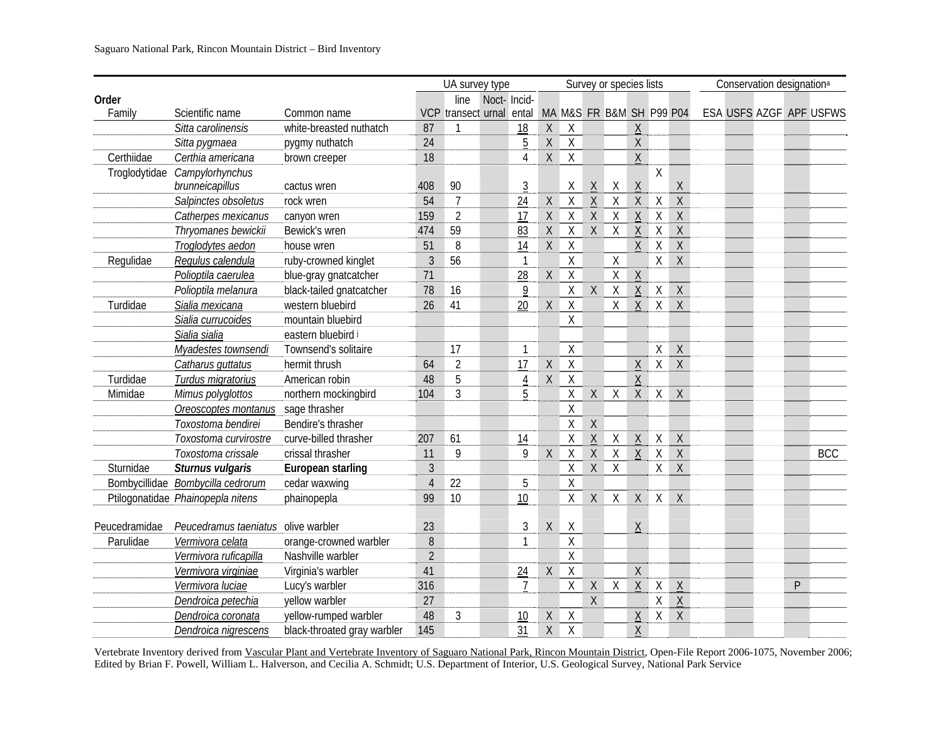|               |                                     |                             |                | UA survey type       |              |                |              |                    |                 | Survey or species lists  |                 |              |                 | Conservation designation <sup>a</sup> |   |                         |
|---------------|-------------------------------------|-----------------------------|----------------|----------------------|--------------|----------------|--------------|--------------------|-----------------|--------------------------|-----------------|--------------|-----------------|---------------------------------------|---|-------------------------|
| Order         |                                     |                             |                | line                 | Noct- Incid- |                |              |                    |                 |                          |                 |              |                 |                                       |   |                         |
| Family        | Scientific name                     | Common name                 | <b>VCP</b>     | transect urnal ental |              |                |              |                    |                 | MA M&S FR B&M SH P99 P04 |                 |              |                 |                                       |   | ESA USFS AZGF APF USFWS |
|               | Sitta carolinensis                  | white-breasted nuthatch     | 87             | $\mathbf{1}$         |              | 18             | $\sf X$      | X                  |                 |                          | Χ               |              |                 |                                       |   |                         |
|               | Sitta pygmaea                       | pygmy nuthatch              | 24             |                      |              | 5              | X            | $\sf X$            |                 |                          | $\mathsf{X}$    |              |                 |                                       |   |                         |
| Certhiidae    | Certhia americana                   | brown creeper               | 18             |                      |              | 4              | X            | $\sf X$            |                 |                          | X               |              |                 |                                       |   |                         |
| Troglodytidae | Campylorhynchus                     |                             |                |                      |              |                |              |                    |                 |                          |                 | Χ            |                 |                                       |   |                         |
|               | brunneicapillus                     | cactus wren                 | 408            | 90                   |              | $\overline{3}$ |              | Χ                  | $\underline{X}$ | Χ                        | $\underline{X}$ |              | $\mathsf X$     |                                       |   |                         |
|               | Salpinctes obsoletus                | rock wren                   | 54             | $\overline{7}$       |              | 24             | $\mathsf X$  | $\sf X$            | $\underline{X}$ | $\overline{\mathsf{X}}$  | $\sf X$         | $\mathsf X$  | $\sf X$         |                                       |   |                         |
|               | Catherpes mexicanus                 | canyon wren                 | 159            | $\overline{2}$       |              | 17             | $\mathsf X$  | $\sf X$            | $\sf X$         | $\sf X$                  | $\sf X$         | $\mathsf X$  | $\mathsf X$     |                                       |   |                         |
|               | Thryomanes bewickii                 | Bewick's wren               | 474            | 59                   |              | 83             | $\mathsf X$  | $\sf X$            | $\mathsf X$     | $\overline{X}$           | $\underline{X}$ | $\mathsf X$  | $\overline{X}$  |                                       |   |                         |
|               | Troglodytes aedon                   | house wren                  | 51             | 8                    |              | 14             | $\mathsf X$  | $\sf X$            |                 |                          | $\mathsf X$     | $\mathsf X$  | $\sf X$         |                                       |   |                         |
| Regulidae     | Regulus calendula                   | ruby-crowned kinglet        | $\overline{3}$ | 56                   |              | $\overline{1}$ |              | $\mathsf X$        |                 | $\mathsf X$              |                 | $\sf X$      | $\sf X$         |                                       |   |                         |
|               | Polioptila caerulea                 | blue-gray gnatcatcher       | 71             |                      |              | 28             | $\mathsf{X}$ | $\sf X$            |                 | $\mathsf{X}$             | $\mathsf X$     |              |                 |                                       |   |                         |
|               | Polioptila melanura                 | black-tailed gnatcatcher    | 78             | 16                   |              | 9              |              | $\mathsf{X}% _{0}$ | $\sf X$         | $\sf X$                  | $\underline{X}$ | $\mathsf{X}$ | $\mathsf X$     |                                       |   |                         |
| Turdidae      | Sialia mexicana                     | western bluebird            | 26             | 41                   |              | 20             | $\mathsf X$  | $\mathsf X$        |                 | $\mathsf{X}$             | $\mathsf X$     | $\sf X$      | $\mathsf X$     |                                       |   |                         |
|               | Sialia currucoides                  | mountain bluebird           |                |                      |              |                |              | $\mathsf{X}$       |                 |                          |                 |              |                 |                                       |   |                         |
|               | Sialia sialia                       | eastern bluebird i          |                |                      |              |                |              |                    |                 |                          |                 |              |                 |                                       |   |                         |
|               | Myadestes townsendi                 | Townsend's solitaire        |                | 17                   |              | 1              |              | $\times$           |                 |                          |                 | X            | $\mathsf{X}$    |                                       |   |                         |
|               | Catharus guttatus                   | hermit thrush               | 64             | $\overline{2}$       |              | 17             | Χ            | Χ                  |                 |                          | Χ               | X            | $\sf X$         |                                       |   |                         |
| Turdidae      | Turdus migratorius                  | American robin              | 48             | 5                    |              | $\overline{4}$ | Χ            | $\chi$             |                 |                          | $\sf X$         |              |                 |                                       |   |                         |
| Mimidae       | Mimus polyglottos                   | northern mockingbird        | 104            | $\mathfrak{Z}$       |              | 5              |              | Χ                  | X               | X                        | X               | X            | $\chi$          |                                       |   |                         |
|               | Oreoscoptes montanus                | sage thrasher               |                |                      |              |                |              | Χ                  |                 |                          |                 |              |                 |                                       |   |                         |
|               | Toxostoma bendirei                  | Bendire's thrasher          |                |                      |              |                |              | Χ                  | $\sf X$         |                          |                 |              |                 |                                       |   |                         |
|               | Toxostoma curvirostre               | curve-billed thrasher       | 207            | 61                   |              | 14             |              | Χ                  | $\sf X$         | Χ                        | $\mathsf X$     | $\mathsf{X}$ | $\mathsf{X}$    |                                       |   |                         |
|               | Toxostoma crissale                  | crissal thrasher            | 11             | 9                    |              | 9              | $\sf X$      | $\sf X$            | $\sf X$         | $\overline{X}$           | $\mathsf X$     | $\sf X$      | $\mathsf{X}$    |                                       |   | <b>BCC</b>              |
| Sturnidae     | Sturnus vulgaris                    | European starling           | 3              |                      |              |                |              | Χ                  | $\mathsf X$     | X                        |                 | X            | $\mathsf X$     |                                       |   |                         |
|               | Bombycillidae Bombycilla cedrorum   | cedar waxwing               | $\overline{4}$ | 22                   |              | 5              |              | X                  |                 |                          |                 |              |                 |                                       |   |                         |
|               | Ptilogonatidae Phainopepla nitens   | phainopepla                 | 99             | 10                   |              | 10             |              | Χ                  | $\mathsf{X}$    | X                        | X               | X            | $\mathsf{X}$    |                                       |   |                         |
|               |                                     |                             |                |                      |              |                |              |                    |                 |                          |                 |              |                 |                                       |   |                         |
| Peucedramidae | Peucedramus taeniatus olive warbler |                             | 23             |                      |              | 3              | $\mathsf X$  | X                  |                 |                          | Χ               |              |                 |                                       |   |                         |
| Parulidae     | Vermivora celata                    | orange-crowned warbler      | 8              |                      |              | 1              |              | Χ                  |                 |                          |                 |              |                 |                                       |   |                         |
|               | Vermivora ruficapilla               | Nashville warbler           | $\overline{2}$ |                      |              |                |              | $\sf X$            |                 |                          |                 |              |                 |                                       |   |                         |
|               | Vermivora virginiae                 | Virginia's warbler          | 41             |                      |              | 24             | $\mathsf X$  | $\sf X$            |                 |                          | $\sf X$         |              |                 |                                       |   |                         |
|               | Vermivora luciae                    | Lucy's warbler              | 316            |                      |              | $\overline{7}$ |              | $\mathsf{X}% _{0}$ | $\sf X$         | $\sf X$                  | $\mathsf X$     | X            | $\underline{X}$ |                                       | P |                         |
|               | Dendroica petechia                  | yellow warbler              | 27             |                      |              |                |              |                    | $\mathsf{X}$    |                          |                 | X            | $\overline{X}$  |                                       |   |                         |
|               | Dendroica coronata                  | yellow-rumped warbler       | 48             | 3                    |              | 10             | Χ            | $\mathsf X$        |                 |                          | $\underline{X}$ | X            | $\mathsf{X}$    |                                       |   |                         |
|               | Dendroica nigrescens                | black-throated gray warbler | 145            |                      |              | 31             | X            | $\sf X$            |                 |                          | $\mathsf X$     |              |                 |                                       |   |                         |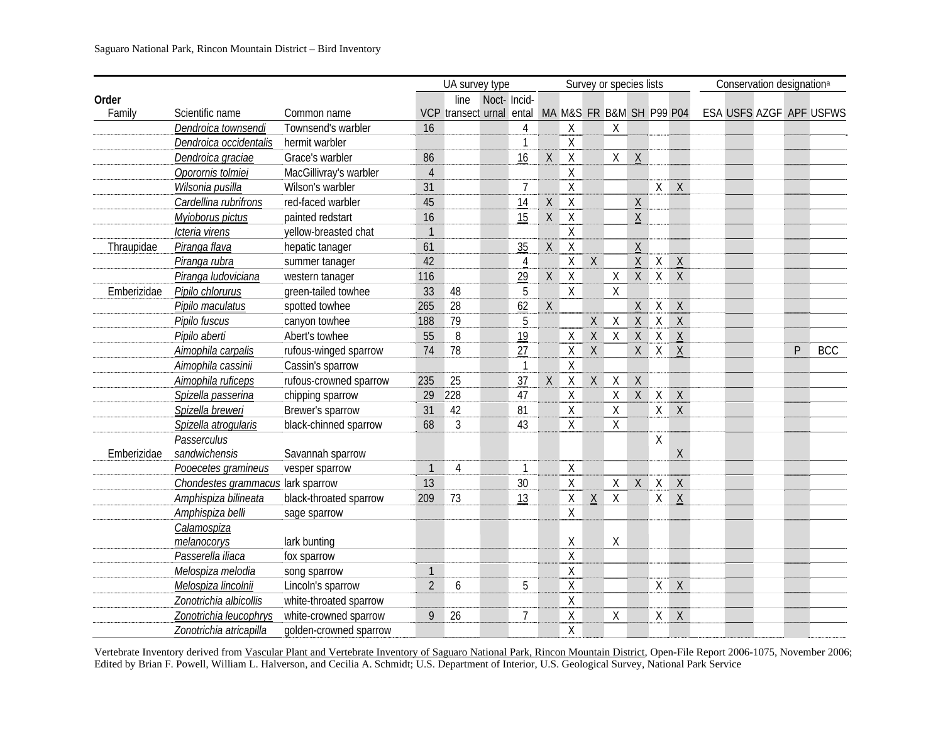|             |                                   |                        |                | UA survey type                                    |             |                |                                                     |                |              | Survey or species lists |                 |              |                 | Conservation designation <sup>a</sup> |   |                         |
|-------------|-----------------------------------|------------------------|----------------|---------------------------------------------------|-------------|----------------|-----------------------------------------------------|----------------|--------------|-------------------------|-----------------|--------------|-----------------|---------------------------------------|---|-------------------------|
| Order       |                                   |                        |                | line                                              | Noct-Incid- |                |                                                     |                |              |                         |                 |              |                 |                                       |   |                         |
| Family      | Scientific name                   | Common name            |                | VCP transect urnal ental MA M&S FR B&M SH P99 P04 |             |                |                                                     |                |              |                         |                 |              |                 |                                       |   | ESA USFS AZGF APF USFWS |
|             | Dendroica townsendi               | Townsend's warbler     | 16             |                                                   |             | $\overline{4}$ |                                                     | $\chi$         |              | Χ                       |                 |              |                 |                                       |   |                         |
|             | Dendroica occidentalis            | hermit warbler         |                |                                                   |             | $\mathbf{1}$   |                                                     | X              |              |                         |                 |              |                 |                                       |   |                         |
|             | Dendroica graciae                 | Grace's warbler        | 86             |                                                   |             | 16             | $\mathsf{X}% _{0}^{\prime}=\mathsf{X}_{0}^{\prime}$ | $\mathsf{X}$   |              | X                       | $\mathsf{X}$    |              |                 |                                       |   |                         |
|             | Oporornis tolmiei                 | MacGillivray's warbler | $\overline{4}$ |                                                   |             |                |                                                     | $\chi$         |              |                         |                 |              |                 |                                       |   |                         |
|             | Wilsonia pusilla                  | Wilson's warbler       | 31             |                                                   |             | $\overline{7}$ |                                                     | $\mathsf X$    |              |                         |                 | X            | $\overline{X}$  |                                       |   |                         |
|             | Cardellina rubrifrons             | red-faced warbler      | 45             |                                                   |             | 14             | $\mathsf X$                                         | $\sf X$        |              |                         | $\underline{X}$ |              |                 |                                       |   |                         |
|             | Myioborus pictus                  | painted redstart       | 16             |                                                   |             | 15             | $\mathsf X$                                         | $\overline{X}$ |              |                         | $\mathsf X$     |              |                 |                                       |   |                         |
|             | Icteria virens                    | yellow-breasted chat   | $\mathbf{1}$   |                                                   |             |                |                                                     | $\mathsf X$    |              |                         |                 |              |                 |                                       |   |                         |
| Thraupidae  | Piranga flava                     | hepatic tanager        | 61             |                                                   |             | 35             | $\mathsf X$                                         | $\sf X$        |              |                         | $\mathsf{X}$    |              |                 |                                       |   |                         |
|             | Piranga rubra                     | summer tanager         | 42             |                                                   |             | $\overline{4}$ |                                                     | $\mathsf X$    | $\chi$       |                         | $\underline{X}$ | $\sf X$      | $\underline{X}$ |                                       |   |                         |
|             | Piranga ludoviciana               | western tanager        | 116            |                                                   |             | 29             | $\mathsf X$                                         | $\overline{X}$ |              | $\overline{\mathsf{X}}$ | $\mathsf X$     |              | $X$ $X$         |                                       |   |                         |
| Emberizidae | Pipilo chlorurus                  | green-tailed towhee    | 33             | 48                                                |             | 5              |                                                     | $\overline{X}$ |              | $\sf X$                 |                 |              |                 |                                       |   |                         |
|             | Pipilo maculatus                  | spotted towhee         | 265            | 28                                                |             | 62             | $\mathsf X$                                         |                |              |                         | $\sf X$         | X            | $\mathsf X$     |                                       |   |                         |
|             | Pipilo fuscus                     | canyon towhee          | 188            | 79                                                |             | $\overline{5}$ |                                                     |                | $\mathsf{X}$ | $\mathsf X$             | $\underline{X}$ | $\mathsf X$  | $\overline{X}$  |                                       |   |                         |
|             | Pipilo aberti                     | Abert's towhee         | 55             | 8                                                 |             | 19             |                                                     | $\sf X$        | $\sf X$      | $\overline{X}$          | $\sf X$         | $\mathsf X$  | $\mathsf X$     |                                       |   |                         |
|             | Aimophila carpalis                | rufous-winged sparrow  | 74             | 78                                                |             | 27             |                                                     | $\mathsf X$    | $\sf X$      |                         | $\mathsf{X}$    | X            | $\overline{X}$  |                                       | P | <b>BCC</b>              |
|             | Aimophila cassinii                | Cassin's sparrow       |                |                                                   |             | $\mathbf{1}$   |                                                     | $\mathsf X$    |              |                         |                 |              |                 |                                       |   |                         |
|             | Aimophila ruficeps                | rufous-crowned sparrow | 235            | 25                                                |             | 37             | $\mathsf{X}% _{0}^{\prime}=\mathsf{X}_{0}^{\prime}$ | $\sf X$        | $\mathsf X$  | $\mathsf X$             | $\sf X$         |              |                 |                                       |   |                         |
|             | Spizella passerina                | chipping sparrow       | 29             | 228                                               |             | 47             |                                                     | $\mathsf X$    |              | $\mathsf{X}$            | $\mathsf{X}$    | X            | $\mathsf{X}$    |                                       |   |                         |
|             | Spizella breweri                  | Brewer's sparrow       | 31             | 42                                                |             | 81             |                                                     | $\mathsf X$    |              | $\mathsf{X}$            |                 | X            | $\overline{X}$  |                                       |   |                         |
|             | Spizella atrogularis              | black-chinned sparrow  | 68             | 3                                                 |             | 43             |                                                     | $\overline{X}$ |              | $\overline{X}$          |                 |              |                 |                                       |   |                         |
|             | Passerculus                       |                        |                |                                                   |             |                |                                                     |                |              |                         |                 | χ            |                 |                                       |   |                         |
| Emberizidae | sandwichensis                     | Savannah sparrow       |                |                                                   |             |                |                                                     |                |              |                         |                 |              | $\chi$          |                                       |   |                         |
|             | Pooecetes gramineus               | vesper sparrow         | $\mathbf{1}$   | $\overline{4}$                                    |             | $\mathbf{1}$   |                                                     | Χ              |              |                         |                 |              |                 |                                       |   |                         |
|             | Chondestes grammacus lark sparrow |                        | 13             |                                                   |             | 30             |                                                     | $\sf X$        |              | $\mathsf{X}$            | $\sf X$         | X            | $\mathsf X$     |                                       |   |                         |
|             | Amphispiza bilineata              | black-throated sparrow | 209            | 73                                                |             | 13             |                                                     | $\mathsf X$    | $\sf X$      | $\mathsf X$             |                 | $\mathsf{X}$ | $\mathsf X$     |                                       |   |                         |
|             | Amphispiza belli                  | sage sparrow           |                |                                                   |             |                |                                                     | $\sf X$        |              |                         |                 |              |                 |                                       |   |                         |
|             | Calamospiza                       |                        |                |                                                   |             |                |                                                     |                |              |                         |                 |              |                 |                                       |   |                         |
|             | melanocorys                       | lark bunting           |                |                                                   |             |                |                                                     | Χ              |              | $\sf X$                 |                 |              |                 |                                       |   |                         |
|             | Passerella iliaca                 | fox sparrow            |                |                                                   |             |                |                                                     | $\mathsf X$    |              |                         |                 |              |                 |                                       |   |                         |
|             | Melospiza melodia                 | song sparrow           | $\mathbf{1}$   |                                                   |             |                |                                                     | $\mathsf X$    |              |                         |                 |              |                 |                                       |   |                         |
|             | Melospiza lincolnii               | Lincoln's sparrow      | $\overline{2}$ | 6                                                 |             | 5              |                                                     | $\sf X$        |              |                         |                 | X            | $\mathsf{X}$    |                                       |   |                         |
|             | Zonotrichia albicollis            | white-throated sparrow |                |                                                   |             |                |                                                     | $\mathsf X$    |              |                         |                 |              |                 |                                       |   |                         |
|             | Zonotrichia leucophrys            | white-crowned sparrow  | 9              | 26                                                |             | $\overline{7}$ |                                                     | Χ              |              | Χ                       |                 | X            | $\mathsf X$     |                                       |   |                         |
|             | Zonotrichia atricapilla           | golden-crowned sparrow |                |                                                   |             |                |                                                     | Χ              |              |                         |                 |              |                 |                                       |   |                         |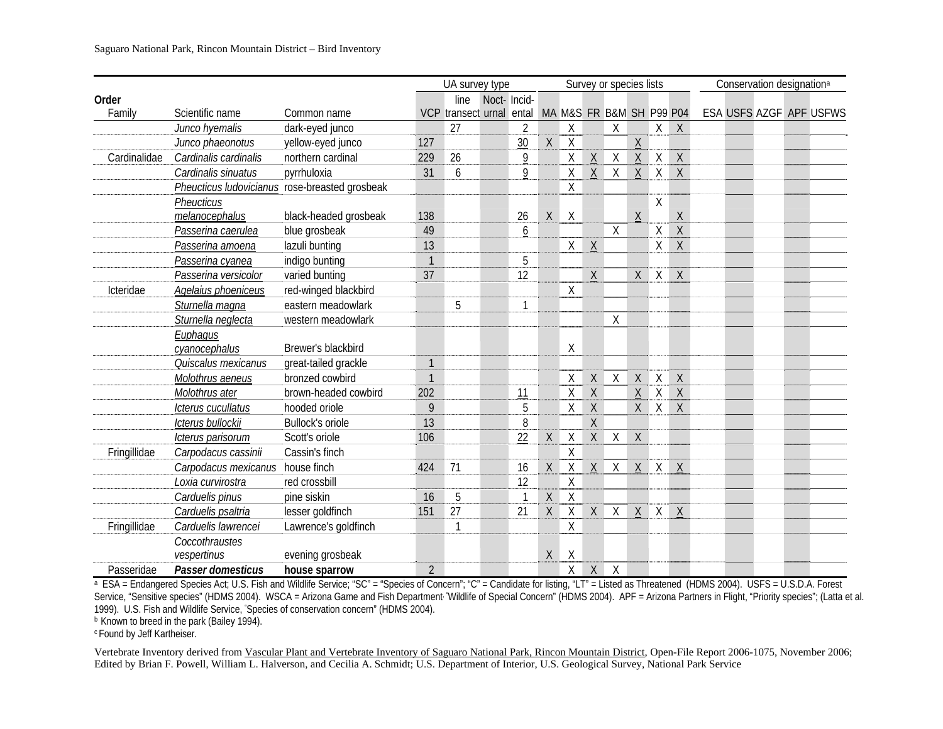|              |                       |                                                |                | UA survey type                                    |             |                |              |              |             | Survey or species lists |                 |         |                |  | Conservation designation <sup>a</sup> |                         |
|--------------|-----------------------|------------------------------------------------|----------------|---------------------------------------------------|-------------|----------------|--------------|--------------|-------------|-------------------------|-----------------|---------|----------------|--|---------------------------------------|-------------------------|
| Order        |                       |                                                |                | line                                              | Noct-Incid- |                |              |              |             |                         |                 |         |                |  |                                       |                         |
| Family       | Scientific name       | Common name                                    |                | VCP transect urnal ental MA M&S FR B&M SH P99 P04 |             |                |              |              |             |                         |                 |         |                |  |                                       | ESA USFS AZGF APF USFWS |
|              | Junco hyemalis        | dark-eyed junco                                |                | 27                                                |             | $\overline{2}$ |              | $\mathsf X$  |             | $\chi$                  |                 |         | $X$ $X$        |  |                                       |                         |
|              | Junco phaeonotus      | yellow-eyed junco                              | 127            |                                                   |             | 30             | $\mathsf{X}$ | $\sf X$      |             |                         | $\underline{X}$ |         |                |  |                                       |                         |
| Cardinalidae | Cardinalis cardinalis | northern cardinal                              | 229            | 26                                                |             | 9              |              | Χ            | $\sf X$     | $\sf X$                 | X               | X       | $\mathsf{X}$   |  |                                       |                         |
|              | Cardinalis sinuatus   | pyrrhuloxia                                    | 31             | 6                                                 |             | 9              |              | $\mathsf{X}$ | $\sf X$     | X                       | X               | X       | $\mathsf{X}$   |  |                                       |                         |
|              |                       | Pheucticus ludovicianus rose-breasted grosbeak |                |                                                   |             |                |              | $\sf X$      |             |                         |                 |         |                |  |                                       |                         |
|              | Pheucticus            |                                                |                |                                                   |             |                |              |              |             |                         |                 | $\sf X$ |                |  |                                       |                         |
|              | melanocephalus        | black-headed grosbeak                          | 138            |                                                   |             | 26             | $\mathsf{X}$ | $\mathsf{X}$ |             |                         | $\mathsf{X}$    |         | $\mathsf X$    |  |                                       |                         |
|              | Passerina caerulea    | blue grosbeak                                  | 49             |                                                   |             | 6              |              |              |             | $\chi$                  |                 | $\sf X$ | $\overline{X}$ |  |                                       |                         |
|              | Passerina amoena      | lazuli bunting                                 | 13             |                                                   |             |                |              | X            | $\sf X$     |                         |                 | X       | $\mathsf X$    |  |                                       |                         |
|              | Passerina cyanea      | indigo bunting                                 | $\mathbf{1}$   |                                                   |             | 5              |              |              |             |                         |                 |         |                |  |                                       |                         |
|              | Passerina versicolor  | varied bunting                                 | 37             |                                                   |             | 12             |              |              | $\sf X$     |                         | X               | $\chi$  | $\mathsf{X}$   |  |                                       |                         |
| Icteridae    | Agelaius phoeniceus   | red-winged blackbird                           |                |                                                   |             |                |              | X            |             |                         |                 |         |                |  |                                       |                         |
|              | Sturnella magna       | eastern meadowlark                             |                | 5                                                 |             | $\mathbf{1}$   |              |              |             |                         |                 |         |                |  |                                       |                         |
|              | Sturnella neglecta    | western meadowlark                             |                |                                                   |             |                |              |              |             | Χ                       |                 |         |                |  |                                       |                         |
|              | Euphagus              |                                                |                |                                                   |             |                |              |              |             |                         |                 |         |                |  |                                       |                         |
|              | cyanocephalus         | Brewer's blackbird                             |                |                                                   |             |                |              | Χ            |             |                         |                 |         |                |  |                                       |                         |
|              | Quiscalus mexicanus   | great-tailed grackle                           | $\mathbf{1}$   |                                                   |             |                |              |              |             |                         |                 |         |                |  |                                       |                         |
|              | Molothrus aeneus      | bronzed cowbird                                | $\overline{1}$ |                                                   |             |                |              | Χ            | $\sf X$     | $\sf X$                 | $\chi$          | $\chi$  | $\mathsf{X}$   |  |                                       |                         |
|              | Molothrus ater        | brown-headed cowbird                           | 202            |                                                   |             | 11             |              | Χ            | $\mathsf X$ |                         | $\underline{X}$ | X       | X              |  |                                       |                         |
|              | Icterus cucullatus    | hooded oriole                                  | 9              |                                                   |             | 5              |              | $\chi$       | $\sf X$     |                         | X               | $\sf X$ | $\sf X$        |  |                                       |                         |
|              | Icterus bullockii     | <b>Bullock's oriole</b>                        | 13             |                                                   |             | 8              |              |              | $\sf X$     |                         |                 |         |                |  |                                       |                         |
|              | Icterus parisorum     | Scott's oriole                                 | 106            |                                                   |             | 22             | Χ            | $\mathsf X$  | $\sf X$     | $\mathsf X$             | $\mathsf{X}$    |         |                |  |                                       |                         |
| Fringillidae | Carpodacus cassinii   | Cassin's finch                                 |                |                                                   |             |                |              | $\sf X$      |             |                         |                 |         |                |  |                                       |                         |
|              | Carpodacus mexicanus  | house finch                                    | 424            | 71                                                |             | 16             | X            | $\mathsf X$  | X           | X                       |                 | $X$ $X$ | $\mathsf{X}$   |  |                                       |                         |
|              | Loxia curvirostra     | red crossbill                                  |                |                                                   |             | 12             |              | $\mathsf X$  |             |                         |                 |         |                |  |                                       |                         |
|              | Carduelis pinus       | pine siskin                                    | 16             | 5                                                 |             |                | $\sf X$      | $\sf X$      |             |                         |                 |         |                |  |                                       |                         |
|              | Carduelis psaltria    | lesser goldfinch                               | 151            | 27                                                |             | 21             | X            | Χ            | $\mathsf X$ | X                       | X               |         | X X            |  |                                       |                         |
| Fringillidae | Carduelis lawrencei   | Lawrence's goldfinch                           |                |                                                   |             |                |              | $\chi$       |             |                         |                 |         |                |  |                                       |                         |
|              | Coccothraustes        |                                                |                |                                                   |             |                |              |              |             |                         |                 |         |                |  |                                       |                         |
|              | vespertinus           | evening grosbeak                               |                |                                                   |             |                | Χ            | Χ            |             |                         |                 |         |                |  |                                       |                         |
| Passeridae   | Passer domesticus     | house sparrow                                  | $\overline{2}$ |                                                   |             |                |              | Χ            | $\mathsf X$ | $\sf X$                 |                 |         |                |  |                                       |                         |

<sup>a</sup> ESA = Endangered Species Act; U.S. Fish and Wildlife Service; "SC" = "Species of Concern"; "C" = Candidate for listing, "LT" = Listed as Threatened (HDMS 2004). USFS = U.S.D.A. Forest Service, "Sensitive species" (HDMS 2004). WSCA = Arizona Game and Fish Department 'Wildlife of Special Concern" (HDMS 2004). APF = Arizona Partners in Flight, "Priority species"; (Latta et al. 1999). U.S. Fish and Wildlife Service, "Species of conservation concern" (HDMS 2004).

b Known to breed in the park (Bailey 1994).

c Found by Jeff Kartheiser.